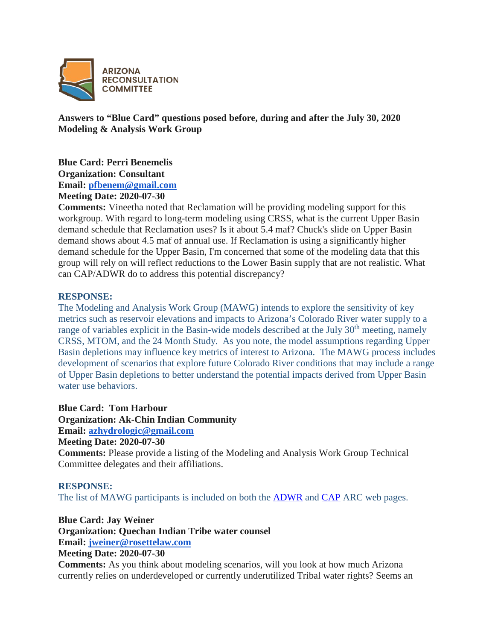

**Answers to "Blue Card" questions posed before, during and after the July 30, 2020 Modeling & Analysis Work Group**

**Blue Card: Perri Benemelis**

**Organization: Consultant**

**Email: [pfbenem@gmail.com](mailto:pfbenem@gmail.com)**

**Meeting Date: 2020-07-30**

**Comments:** Vineetha noted that Reclamation will be providing modeling support for this workgroup. With regard to long-term modeling using CRSS, what is the current Upper Basin demand schedule that Reclamation uses? Is it about 5.4 maf? Chuck's slide on Upper Basin demand shows about 4.5 maf of annual use. If Reclamation is using a significantly higher demand schedule for the Upper Basin, I'm concerned that some of the modeling data that this group will rely on will reflect reductions to the Lower Basin supply that are not realistic. What can CAP/ADWR do to address this potential discrepancy?

# **RESPONSE:**

The Modeling and Analysis Work Group (MAWG) intends to explore the sensitivity of key metrics such as reservoir elevations and impacts to Arizona's Colorado River water supply to a range of variables explicit in the Basin-wide models described at the July  $30<sup>th</sup>$  meeting, namely CRSS, MTOM, and the 24 Month Study. As you note, the model assumptions regarding Upper Basin depletions may influence key metrics of interest to Arizona. The MAWG process includes development of scenarios that explore future Colorado River conditions that may include a range of Upper Basin depletions to better understand the potential impacts derived from Upper Basin water use behaviors.

**Blue Card: Tom Harbour**

**Organization: Ak-Chin Indian Community**

**Email: [azhydrologic@gmail.com](mailto:azhydrologic@gmail.com)**

**Meeting Date: 2020-07-30**

**Comments:** Please provide a listing of the Modeling and Analysis Work Group Technical Committee delegates and their affiliations.

# **RESPONSE:**

The list of MAWG participants is included on both the [ADWR](https://new.azwater.gov/arc) and [CAP](https://www.cap-az.com/departments/planning/colorado-river-programs/arizona-reconsultation-committee) ARC web pages.

**Blue Card: Jay Weiner**

**Organization: Quechan Indian Tribe water counsel**

**Email: [jweiner@rosettelaw.com](mailto:jweiner@rosettelaw.com)**

**Meeting Date: 2020-07-30**

**Comments:** As you think about modeling scenarios, will you look at how much Arizona currently relies on underdeveloped or currently underutilized Tribal water rights? Seems an